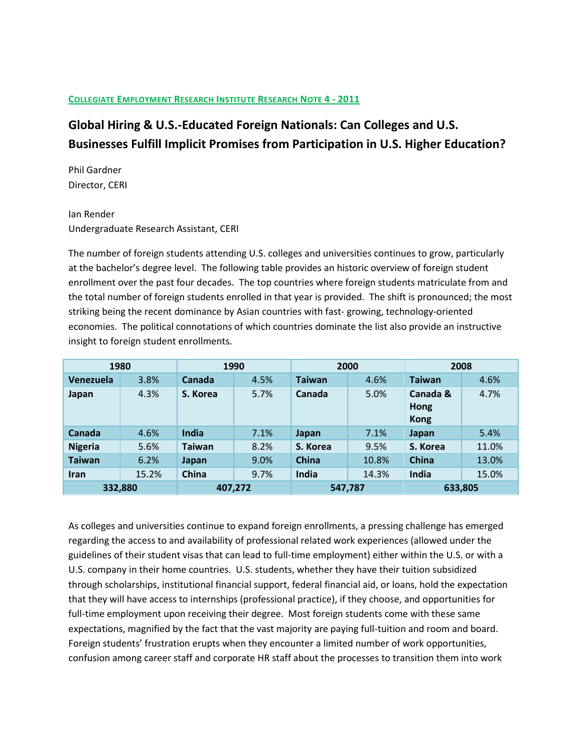# **COLLEGIATE EMPLOYMENT RESEARCH INSTITUTE RESEARCH NOTE 4 - 2011**

# **Global Hiring & U.S.-Educated Foreign Nationals: Can Colleges and U.S. Businesses Fulfill Implicit Promises from Participation in U.S. Higher Education?**

Phil Gardner Director, CERI

# Ian Render Undergraduate Research Assistant, CERI

The number of foreign students attending U.S. colleges and universities continues to grow, particularly at the bachelor's degree level. The following table provides an historic overview of foreign student enrollment over the past four decades. The top countries where foreign students matriculate from and the total number of foreign students enrolled in that year is provided. The shift is pronounced; the most striking being the recent dominance by Asian countries with fast- growing, technology-oriented economies. The political connotations of which countries dominate the list also provide an instructive insight to foreign student enrollments.

| 1980           |       | 1990          |      | 2000          |       | 2008                            |       |
|----------------|-------|---------------|------|---------------|-------|---------------------------------|-------|
| Venezuela      | 3.8%  | Canada        | 4.5% | <b>Taiwan</b> | 4.6%  | <b>Taiwan</b>                   | 4.6%  |
| Japan          | 4.3%  | S. Korea      | 5.7% | Canada        | 5.0%  | Canada &<br>Hong<br><b>Kong</b> | 4.7%  |
| Canada         | 4.6%  | India         | 7.1% | Japan         | 7.1%  | Japan                           | 5.4%  |
| <b>Nigeria</b> | 5.6%  | <b>Taiwan</b> | 8.2% | S. Korea      | 9.5%  | S. Korea                        | 11.0% |
| <b>Taiwan</b>  | 6.2%  | Japan         | 9.0% | China         | 10.8% | China                           | 13.0% |
| <b>Iran</b>    | 15.2% | China         | 9.7% | India         | 14.3% | India                           | 15.0% |
| 332,880        |       | 407,272       |      | 547,787       |       | 633,805                         |       |

As colleges and universities continue to expand foreign enrollments, a pressing challenge has emerged regarding the access to and availability of professional related work experiences (allowed under the guidelines of their student visas that can lead to full-time employment) either within the U.S. or with a U.S. company in their home countries. U.S. students, whether they have their tuition subsidized through scholarships, institutional financial support, federal financial aid, or loans, hold the expectation that they will have access to internships (professional practice), if they choose, and opportunities for full-time employment upon receiving their degree. Most foreign students come with these same expectations, magnified by the fact that the vast majority are paying full-tuition and room and board. Foreign students' frustration erupts when they encounter a limited number of work opportunities, confusion among career staff and corporate HR staff about the processes to transition them into work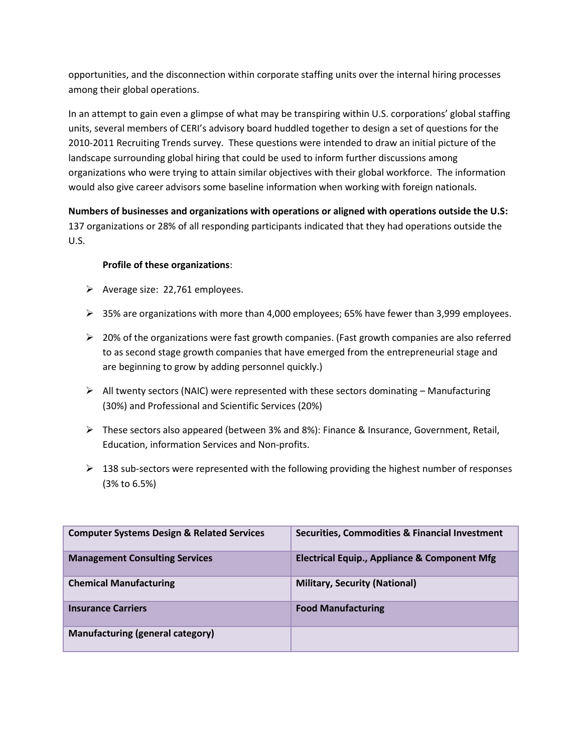opportunities, and the disconnection within corporate staffing units over the internal hiring processes among their global operations.

In an attempt to gain even a glimpse of what may be transpiring within U.S. corporations' global staffing units, several members of CERI's advisory board huddled together to design a set of questions for the 2010-2011 Recruiting Trends survey. These questions were intended to draw an initial picture of the landscape surrounding global hiring that could be used to inform further discussions among organizations who were trying to attain similar objectives with their global workforce. The information would also give career advisors some baseline information when working with foreign nationals.

**Numbers of businesses and organizations with operations or aligned with operations outside the U.S:**  137 organizations or 28% of all responding participants indicated that they had operations outside the U.S.

# **Profile of these organizations**:

- $\triangleright$  Average size: 22,761 employees.
- $\triangleright$  35% are organizations with more than 4,000 employees; 65% have fewer than 3,999 employees.
- $\triangleright$  20% of the organizations were fast growth companies. (Fast growth companies are also referred to as second stage growth companies that have emerged from the entrepreneurial stage and are beginning to grow by adding personnel quickly.)
- $\triangleright$  All twenty sectors (NAIC) were represented with these sectors dominating Manufacturing (30%) and Professional and Scientific Services (20%)
- These sectors also appeared (between 3% and 8%): Finance & Insurance, Government, Retail, Education, information Services and Non-profits.
- $\geq$  138 sub-sectors were represented with the following providing the highest number of responses (3% to 6.5%)

| <b>Computer Systems Design &amp; Related Services</b> | Securities, Commodities & Financial Investment          |
|-------------------------------------------------------|---------------------------------------------------------|
| <b>Management Consulting Services</b>                 | <b>Electrical Equip., Appliance &amp; Component Mfg</b> |
| <b>Chemical Manufacturing</b>                         | <b>Military, Security (National)</b>                    |
| <b>Insurance Carriers</b>                             | <b>Food Manufacturing</b>                               |
| Manufacturing (general category)                      |                                                         |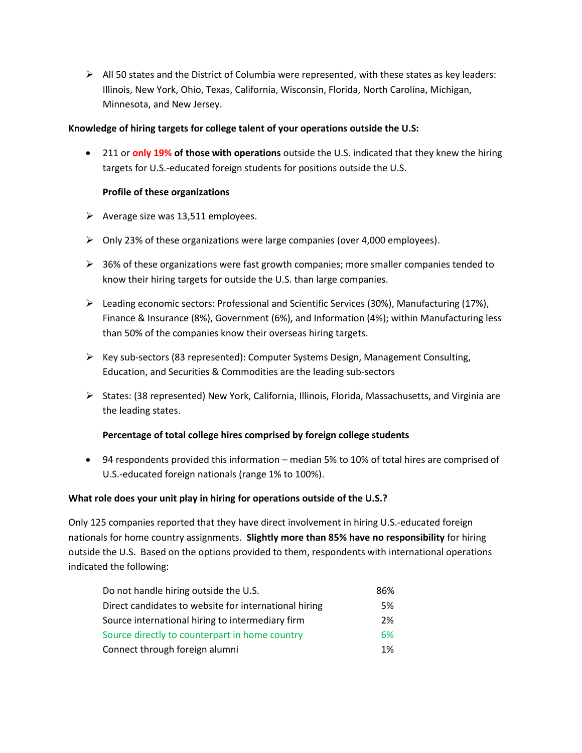$\triangleright$  All 50 states and the District of Columbia were represented, with these states as key leaders: Illinois, New York, Ohio, Texas, California, Wisconsin, Florida, North Carolina, Michigan, Minnesota, and New Jersey.

# **Knowledge of hiring targets for college talent of your operations outside the U.S:**

 211 or **only 19% of those with operations** outside the U.S. indicated that they knew the hiring targets for U.S.-educated foreign students for positions outside the U.S.

# **Profile of these organizations**

- $\triangleright$  Average size was 13,511 employees.
- $\triangleright$  Only 23% of these organizations were large companies (over 4,000 employees).
- $\triangleright$  36% of these organizations were fast growth companies; more smaller companies tended to know their hiring targets for outside the U.S. than large companies.
- $\triangleright$  Leading economic sectors: Professional and Scientific Services (30%), Manufacturing (17%), Finance & Insurance (8%), Government (6%), and Information (4%); within Manufacturing less than 50% of the companies know their overseas hiring targets.
- $\triangleright$  Key sub-sectors (83 represented): Computer Systems Design, Management Consulting, Education, and Securities & Commodities are the leading sub-sectors
- $\triangleright$  States: (38 represented) New York, California, Illinois, Florida, Massachusetts, and Virginia are the leading states.

# **Percentage of total college hires comprised by foreign college students**

 94 respondents provided this information – median 5% to 10% of total hires are comprised of U.S.-educated foreign nationals (range 1% to 100%).

## **What role does your unit play in hiring for operations outside of the U.S.?**

Only 125 companies reported that they have direct involvement in hiring U.S.-educated foreign nationals for home country assignments. **Slightly more than 85% have no responsibility** for hiring outside the U.S. Based on the options provided to them, respondents with international operations indicated the following:

| Do not handle hiring outside the U.S.                 | 86%   |
|-------------------------------------------------------|-------|
| Direct candidates to website for international hiring | 5%    |
| Source international hiring to intermediary firm      | 2%    |
| Source directly to counterpart in home country        | 6%    |
| Connect through foreign alumni                        | $1\%$ |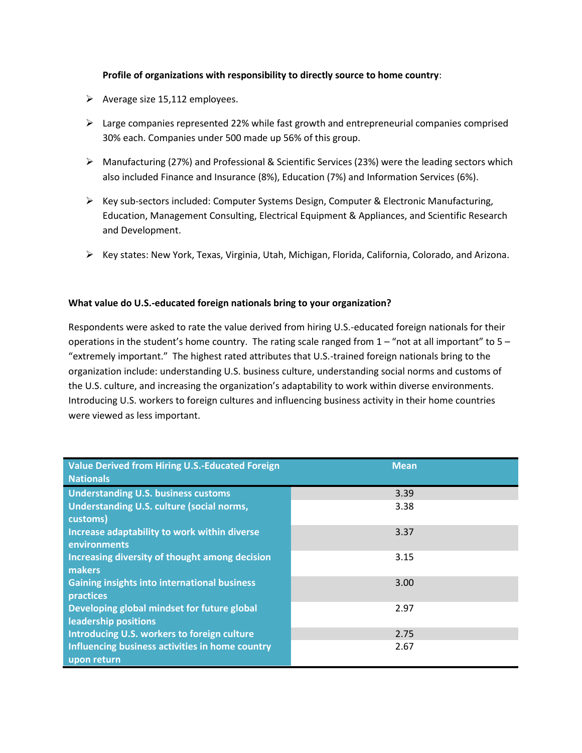# **Profile of organizations with responsibility to directly source to home country**:

- $\triangleright$  Average size 15,112 employees.
- $\triangleright$  Large companies represented 22% while fast growth and entrepreneurial companies comprised 30% each. Companies under 500 made up 56% of this group.
- Manufacturing (27%) and Professional & Scientific Services (23%) were the leading sectors which also included Finance and Insurance (8%), Education (7%) and Information Services (6%).
- $\triangleright$  Key sub-sectors included: Computer Systems Design, Computer & Electronic Manufacturing, Education, Management Consulting, Electrical Equipment & Appliances, and Scientific Research and Development.
- $\triangleright$  Key states: New York, Texas, Virginia, Utah, Michigan, Florida, California, Colorado, and Arizona.

## **What value do U.S.-educated foreign nationals bring to your organization?**

Respondents were asked to rate the value derived from hiring U.S.-educated foreign nationals for their operations in the student's home country. The rating scale ranged from  $1 -$  "not at all important" to  $5 -$ "extremely important." The highest rated attributes that U.S.-trained foreign nationals bring to the organization include: understanding U.S. business culture, understanding social norms and customs of the U.S. culture, and increasing the organization's adaptability to work within diverse environments. Introducing U.S. workers to foreign cultures and influencing business activity in their home countries were viewed as less important.

| <b>Value Derived from Hiring U.S.-Educated Foreign</b><br><b>Nationals</b> | <b>Mean</b> |
|----------------------------------------------------------------------------|-------------|
| <b>Understanding U.S. business customs</b>                                 | 3.39        |
| <b>Understanding U.S. culture (social norms,</b><br>customs)               | 3.38        |
| Increase adaptability to work within diverse<br>environments               | 3.37        |
| Increasing diversity of thought among decision<br>makers                   | 3.15        |
| <b>Gaining insights into international business</b><br>practices           | 3.00        |
| Developing global mindset for future global<br>leadership positions        | 2.97        |
| Introducing U.S. workers to foreign culture                                | 2.75        |
| Influencing business activities in home country<br>upon return             | 2.67        |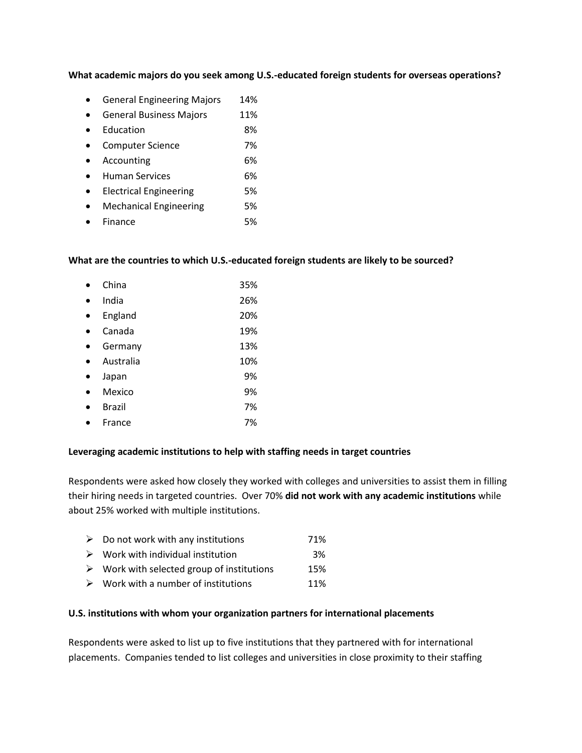#### **What academic majors do you seek among U.S.-educated foreign students for overseas operations?**

- **•** General Engineering Majors 14%
- **•** General Business Majors 11%
- Education 8%
- Computer Science 7%
- Accounting 6%
- Human Services 6%
- Electrical Engineering 5%
- Mechanical Engineering 5%
- Finance 5%

#### **What are the countries to which U.S.-educated foreign students are likely to be sourced?**

| China     | 35% |
|-----------|-----|
| India     | 26% |
| England   | 20% |
| Canada    | 19% |
| Germany   | 13% |
| Australia | 10% |
| Japan     | 9%  |
| Mexico    | 9%  |
| Brazil    | 7%  |
| France    | 7%  |

#### **Leveraging academic institutions to help with staffing needs in target countries**

Respondents were asked how closely they worked with colleges and universities to assist them in filling their hiring needs in targeted countries. Over 70% **did not work with any academic institutions** while about 25% worked with multiple institutions.

| $\triangleright$ Do not work with any institutions        | 71% |
|-----------------------------------------------------------|-----|
| $\triangleright$ Work with individual institution         | 3%  |
| $\triangleright$ Work with selected group of institutions | 15% |
| $\triangleright$ Work with a number of institutions       | 11% |

#### **U.S. institutions with whom your organization partners for international placements**

Respondents were asked to list up to five institutions that they partnered with for international placements. Companies tended to list colleges and universities in close proximity to their staffing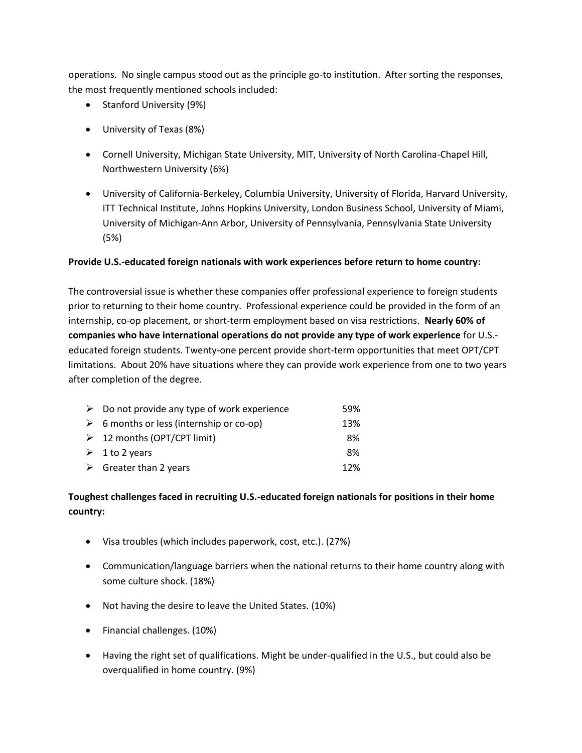operations. No single campus stood out as the principle go-to institution. After sorting the responses, the most frequently mentioned schools included:

- Stanford University (9%)
- University of Texas (8%)
- Cornell University, Michigan State University, MIT, University of North Carolina-Chapel Hill, Northwestern University (6%)
- University of California-Berkeley, Columbia University, University of Florida, Harvard University, ITT Technical Institute, Johns Hopkins University, London Business School, University of Miami, University of Michigan-Ann Arbor, University of Pennsylvania, Pennsylvania State University (5%)

# **Provide U.S.-educated foreign nationals with work experiences before return to home country:**

The controversial issue is whether these companies offer professional experience to foreign students prior to returning to their home country. Professional experience could be provided in the form of an internship, co-op placement, or short-term employment based on visa restrictions. **Nearly 60% of companies who have international operations do not provide any type of work experience** for U.S. educated foreign students. Twenty-one percent provide short-term opportunities that meet OPT/CPT limitations. About 20% have situations where they can provide work experience from one to two years after completion of the degree.

| $\triangleright$ Do not provide any type of work experience | 59% |
|-------------------------------------------------------------|-----|
| $\triangleright$ 6 months or less (internship or co-op)     | 13% |
| $\geq 12$ months (OPT/CPT limit)                            | 8%  |
| $\geq 1$ to 2 years                                         | 8%  |
| $\triangleright$ Greater than 2 years                       | 12% |

# **Toughest challenges faced in recruiting U.S.-educated foreign nationals for positions in their home country:**

- Visa troubles (which includes paperwork, cost, etc.). (27%)
- Communication/language barriers when the national returns to their home country along with some culture shock. (18%)
- Not having the desire to leave the United States. (10%)
- Financial challenges. (10%)
- Having the right set of qualifications. Might be under-qualified in the U.S., but could also be overqualified in home country. (9%)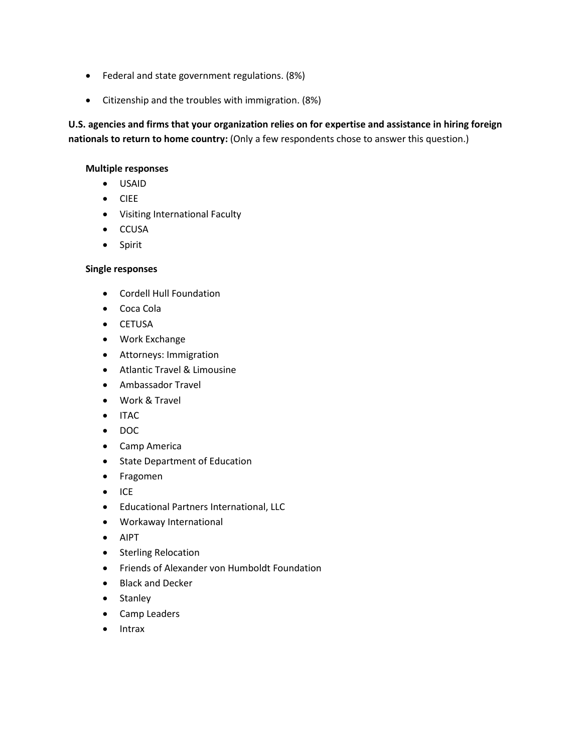- Federal and state government regulations. (8%)
- Citizenship and the troubles with immigration. (8%)

**U.S. agencies and firms that your organization relies on for expertise and assistance in hiring foreign nationals to return to home country:** (Only a few respondents chose to answer this question.)

#### **Multiple responses**

- USAID
- CIEE
- Visiting International Faculty
- CCUSA
- Spirit

#### **Single responses**

- Cordell Hull Foundation
- Coca Cola
- **•** CETUSA
- Work Exchange
- Attorneys: Immigration
- Atlantic Travel & Limousine
- Ambassador Travel
- Work & Travel
- $\bullet$  ITAC
- DOC
- Camp America
- State Department of Education
- Fragomen
- $\bullet$  ICE
- Educational Partners International, LLC
- Workaway International
- AIPT
- Sterling Relocation
- Friends of Alexander von Humboldt Foundation
- Black and Decker
- Stanley
- Camp Leaders
- Intrax